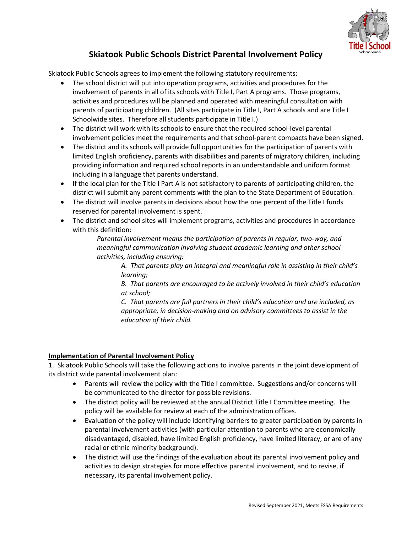

## **Skiatook Public Schools District Parental Involvement Policy**

Skiatook Public Schools agrees to implement the following statutory requirements:

- The school district will put into operation programs, activities and procedures for the involvement of parents in all of its schools with Title I, Part A programs. Those programs, activities and procedures will be planned and operated with meaningful consultation with parents of participating children. (All sites participate in Title I, Part A schools and are Title I Schoolwide sites. Therefore all students participate in Title I.)
- The district will work with its schools to ensure that the required school-level parental involvement policies meet the requirements and that school-parent compacts have been signed.
- The district and its schools will provide full opportunities for the participation of parents with limited English proficiency, parents with disabilities and parents of migratory children, including providing information and required school reports in an understandable and uniform format including in a language that parents understand.
- If the local plan for the Title I Part A is not satisfactory to parents of participating children, the district will submit any parent comments with the plan to the State Department of Education.
- The district will involve parents in decisions about how the one percent of the Title I funds reserved for parental involvement is spent.
- The district and school sites will implement programs, activities and procedures in accordance with this definition:

*Parental involvement means the participation of parents in regular, two‐way, and meaningful communication involving student academic learning and other school activities, including ensuring:* 

*A. That parents play an integral and meaningful role in assisting in their child's learning;* 

*B. That parents are encouraged to be actively involved in their child's education at school;* 

*C. That parents are full partners in their child's education and are included, as appropriate, in decision‐making and on advisory committees to assist in the education of their child.* 

## **Implementation of Parental Involvement Policy**

1. Skiatook Public Schools will take the following actions to involve parents in the joint development of its district wide parental involvement plan:

- Parents will review the policy with the Title I committee. Suggestions and/or concerns will be communicated to the director for possible revisions.
- The district policy will be reviewed at the annual District Title I Committee meeting. The policy will be available for review at each of the administration offices.
- Evaluation of the policy will include identifying barriers to greater participation by parents in parental involvement activities (with particular attention to parents who are economically disadvantaged, disabled, have limited English proficiency, have limited literacy, or are of any racial or ethnic minority background).
- The district will use the findings of the evaluation about its parental involvement policy and activities to design strategies for more effective parental involvement, and to revise, if necessary, its parental involvement policy.